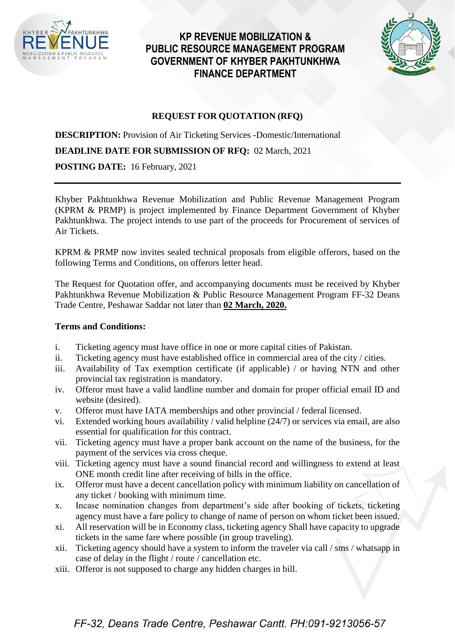

## **KP REVENUE MOBILIZATION & PUBLIC RESOURCE MANAGEMENT PROGRAM GOVERNMENT OF KHYBER PAKHTUNKHWA FINANCE DEPARTMENT**



### **REQUEST FOR QUOTATION (RFQ)**

**DESCRIPTION:** Provision of Air Ticketing Services -Domestic/International

**DEADLINE DATE FOR SUBMISSION OF RFQ:** 02 March, 2021

**POSTING DATE:** 16 February, 2021

Khyber Pakhtunkhwa Revenue Mobilization and Public Revenue Management Program (KPRM & PRMP) is project implemented by Finance Department Government of Khyber Pakhtunkhwa. The project intends to use part of the proceeds for Procurement of services of Air Tickets.

KPRM & PRMP now invites sealed technical proposals from eligible offerors, based on the following Terms and Conditions, on offerors letter head.

The Request for Quotation offer, and accompanying documents must be received by Khyber Pakhtunkhwa Revenue Mobilization & Public Resource Management Program FF-32 Deans Trade Centre, Peshawar Saddar not later than **02 March, 2020.**

#### **Terms and Conditions:**

- i. Ticketing agency must have office in one or more capital cities of Pakistan.
- ii. Ticketing agency must have established office in commercial area of the city / cities.
- iii. Availability of Tax exemption certificate (if applicable) / or having NTN and other provincial tax registration is mandatory.
- iv. Offeror must have a valid landline number and domain for proper official email ID and website (desired).
- v. Offeror must have IATA memberships and other provincial / federal licensed.
- vi. Extended working hours availability / valid helpline (24/7) or services via email, are also essential for qualification for this contract.
- vii. Ticketing agency must have a proper bank account on the name of the business, for the payment of the services via cross cheque.
- viii. Ticketing agency must have a sound financial record and willingness to extend at least ONE month credit line after receiving of bills in the office.
- ix. Offeror must have a decent cancellation policy with minimum liability on cancellation of any ticket / booking with minimum time.
- x. Incase nomination changes from department's side after booking of tickets, ticketing agency must have a fare policy to change of name of person on whom ticket been issued.
- xi. All reservation will be in Economy class, ticketing agency Shall have capacity to upgrade tickets in the same fare where possible (in group traveling).
- xii. Ticketing agency should have a system to inform the traveler via call / sms / whatsapp in case of delay in the flight / route / cancellation etc.
- xiii. Offeror is not supposed to charge any hidden charges in bill.

# FF-32, Deans Trade Centre, Peshawar Cantt. PH:091-9213056-57